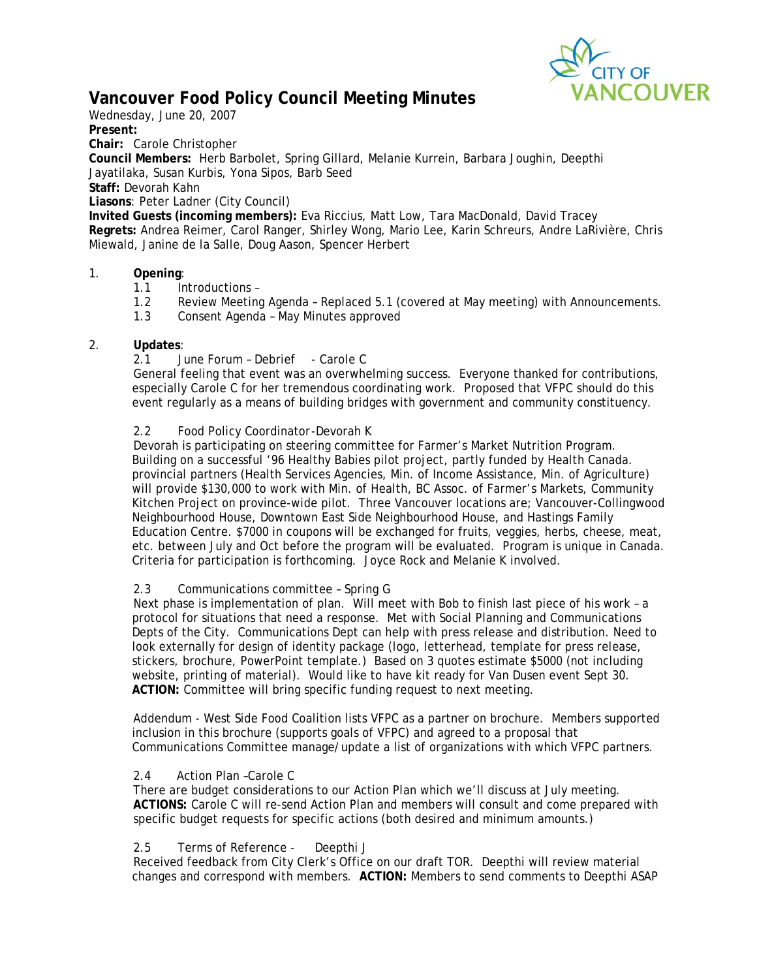

# **Vancouver Food Policy Council Meeting Minutes**

Wednesday, June 20, 2007

**Present:** 

**Chair:** Carole Christopher

**Council Members:** Herb Barbolet, Spring Gillard, Melanie Kurrein, Barbara Joughin, Deepthi Jayatilaka, Susan Kurbis, Yona Sipos, Barb Seed

**Staff:** Devorah Kahn

**Liasons**: Peter Ladner (City Council)

**Invited Guests (incoming members):** Eva Riccius, Matt Low, Tara MacDonald, David Tracey **Regrets:** Andrea Reimer, Carol Ranger, Shirley Wong, Mario Lee, Karin Schreurs, Andre LaRivière, Chris Miewald, Janine de la Salle, Doug Aason, Spencer Herbert

### 1. **Opening**:

- 1.1 Introductions –
- 1.2 Review Meeting Agenda Replaced 5.1 (covered at May meeting) with Announcements.
- 1.3 Consent Agenda May Minutes approved

### 2. **Updates**:

2.1 June Forum - Debrief - Carole C

General feeling that event was an overwhelming success. Everyone thanked for contributions, especially Carole C for her tremendous coordinating work. Proposed that VFPC should do this event regularly as a means of building bridges with government and community constituency.

### 2.2 Food Policy Coordinator -Devorah K

Devorah is participating on steering committee for Farmer's Market Nutrition Program. Building on a successful '96 Healthy Babies pilot project, partly funded by Health Canada. provincial partners (Health Services Agencies, Min. of Income Assistance, Min. of Agriculture) will provide \$130,000 to work with Min. of Health, BC Assoc. of Farmer's Markets, Community Kitchen Project on province-wide pilot. Three Vancouver locations are; Vancouver-Collingwood Neighbourhood House, Downtown East Side Neighbourhood House, and Hastings Family Education Centre. \$7000 in coupons will be exchanged for fruits, veggies, herbs, cheese, meat, etc. between July and Oct before the program will be evaluated. Program is unique in Canada. Criteria for participation is forthcoming. Joyce Rock and Melanie K involved.

### 2.3 Communications committee – Spring G

Next phase is implementation of plan. Will meet with Bob to finish last piece of his work – a protocol for situations that need a response. Met with Social Planning and Communications Depts of the City. Communications Dept can help with press release and distribution. Need to look externally for design of identity package (logo, letterhead, template for press release, stickers, brochure, PowerPoint template.) Based on 3 quotes estimate \$5000 (not including website, printing of material). Would like to have kit ready for Van Dusen event Sept 30. **ACTION:** Committee will bring specific funding request to next meeting.

Addendum - West Side Food Coalition lists VFPC as a partner on brochure. Members supported inclusion in this brochure (supports goals of VFPC) and agreed to a proposal that Communications Committee manage/update a list of organizations with which VFPC partners.

## 2.4 Action Plan –Carole C

There are budget considerations to our Action Plan which we'll discuss at July meeting. **ACTIONS:** Carole C will re-send Action Plan and members will consult and come prepared with specific budget requests for specific actions (both desired and minimum amounts.)

### 2.5 Terms of Reference - Deepthi J

Received feedback from City Clerk's Office on our draft TOR. Deepthi will review material changes and correspond with members. **ACTION:** Members to send comments to Deepthi ASAP